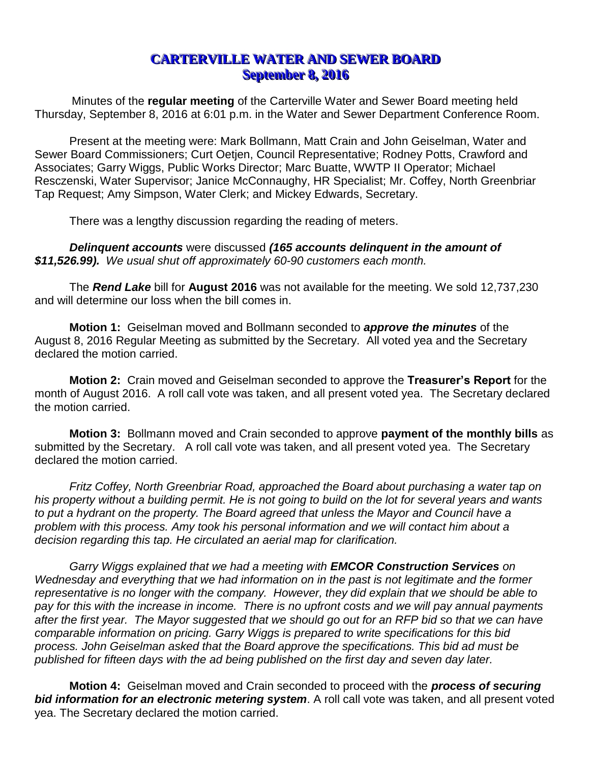## **CARTERVILLE WATER AND SEWER BOARD September 8, 2016**

Minutes of the **regular meeting** of the Carterville Water and Sewer Board meeting held Thursday, September 8, 2016 at 6:01 p.m. in the Water and Sewer Department Conference Room.

Present at the meeting were: Mark Bollmann, Matt Crain and John Geiselman, Water and Sewer Board Commissioners; Curt Oetjen, Council Representative; Rodney Potts, Crawford and Associates; Garry Wiggs, Public Works Director; Marc Buatte, WWTP II Operator; Michael Resczenski, Water Supervisor; Janice McConnaughy, HR Specialist; Mr. Coffey, North Greenbriar Tap Request; Amy Simpson, Water Clerk; and Mickey Edwards, Secretary.

There was a lengthy discussion regarding the reading of meters.

*Delinquent accounts* were discussed *(165 accounts delinquent in the amount of \$11,526.99). We usual shut off approximately 60-90 customers each month.* 

The *Rend Lake* bill for **August 2016** was not available for the meeting. We sold 12,737,230 and will determine our loss when the bill comes in.

**Motion 1:** Geiselman moved and Bollmann seconded to *approve the minutes* of the August 8, 2016 Regular Meeting as submitted by the Secretary. All voted yea and the Secretary declared the motion carried.

**Motion 2:** Crain moved and Geiselman seconded to approve the **Treasurer's Report** for the month of August 2016. A roll call vote was taken, and all present voted yea. The Secretary declared the motion carried.

**Motion 3:** Bollmann moved and Crain seconded to approve **payment of the monthly bills** as submitted by the Secretary. A roll call vote was taken, and all present voted yea. The Secretary declared the motion carried.

*Fritz Coffey, North Greenbriar Road, approached the Board about purchasing a water tap on his property without a building permit. He is not going to build on the lot for several years and wants*  to put a hydrant on the property. The Board agreed that unless the Mayor and Council have a *problem with this process. Amy took his personal information and we will contact him about a decision regarding this tap. He circulated an aerial map for clarification.*

*Garry Wiggs explained that we had a meeting with EMCOR Construction Services on Wednesday and everything that we had information on in the past is not legitimate and the former representative is no longer with the company. However, they did explain that we should be able to pay for this with the increase in income. There is no upfront costs and we will pay annual payments after the first year. The Mayor suggested that we should go out for an RFP bid so that we can have comparable information on pricing. Garry Wiggs is prepared to write specifications for this bid process. John Geiselman asked that the Board approve the specifications. This bid ad must be published for fifteen days with the ad being published on the first day and seven day later.* 

**Motion 4:** Geiselman moved and Crain seconded to proceed with the *process of securing bid information for an electronic metering system*. A roll call vote was taken, and all present voted yea. The Secretary declared the motion carried.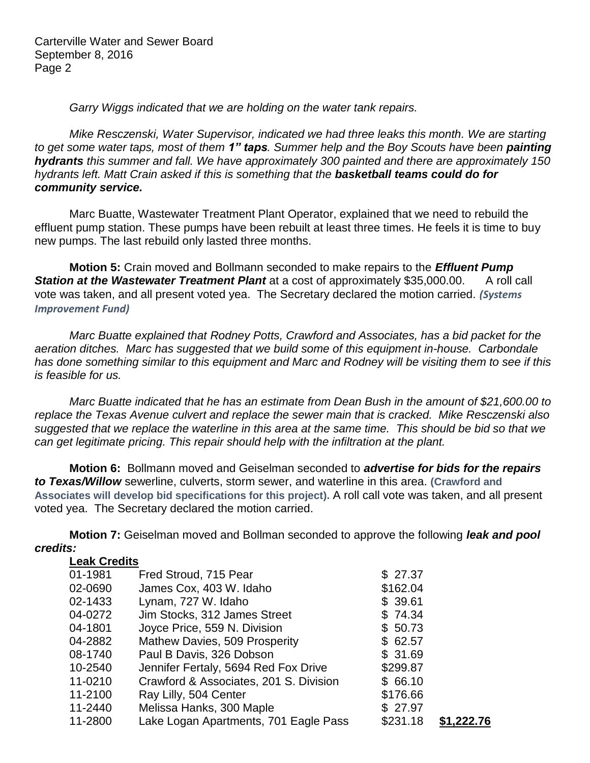Carterville Water and Sewer Board September 8, 2016 Page 2

*Garry Wiggs indicated that we are holding on the water tank repairs.*

*Mike Resczenski, Water Supervisor, indicated we had three leaks this month. We are starting to get some water taps, most of them 1" taps. Summer help and the Boy Scouts have been painting hydrants this summer and fall. We have approximately 300 painted and there are approximately 150 hydrants left. Matt Crain asked if this is something that the basketball teams could do for community service.*

Marc Buatte, Wastewater Treatment Plant Operator, explained that we need to rebuild the effluent pump station. These pumps have been rebuilt at least three times. He feels it is time to buy new pumps. The last rebuild only lasted three months.

**Motion 5:** Crain moved and Bollmann seconded to make repairs to the *Effluent Pump*  **Station at the Wastewater Treatment Plant** at a cost of approximately \$35,000.00. A roll call vote was taken, and all present voted yea. The Secretary declared the motion carried. *(Systems Improvement Fund)*

*Marc Buatte explained that Rodney Potts, Crawford and Associates, has a bid packet for the aeration ditches. Marc has suggested that we build some of this equipment in-house. Carbondale has done something similar to this equipment and Marc and Rodney will be visiting them to see if this is feasible for us.*

*Marc Buatte indicated that he has an estimate from Dean Bush in the amount of \$21,600.00 to replace the Texas Avenue culvert and replace the sewer main that is cracked. Mike Resczenski also suggested that we replace the waterline in this area at the same time. This should be bid so that we can get legitimate pricing. This repair should help with the infiltration at the plant.*

**Motion 6:** Bollmann moved and Geiselman seconded to *advertise for bids for the repairs to Texas/Willow* sewerline, culverts, storm sewer, and waterline in this area. **(Crawford and Associates will develop bid specifications for this project).** A roll call vote was taken, and all present voted yea. The Secretary declared the motion carried.

**Motion 7:** Geiselman moved and Bollman seconded to approve the following *leak and pool credits:*

| <b>Leak Credits</b>                    |          |            |
|----------------------------------------|----------|------------|
| Fred Stroud, 715 Pear                  | \$27.37  |            |
| James Cox, 403 W. Idaho                | \$162.04 |            |
| Lynam, 727 W. Idaho                    | \$39.61  |            |
| Jim Stocks, 312 James Street           | \$74.34  |            |
| Joyce Price, 559 N. Division           | \$50.73  |            |
| Mathew Davies, 509 Prosperity          | \$62.57  |            |
| Paul B Davis, 326 Dobson               | \$31.69  |            |
| Jennifer Fertaly, 5694 Red Fox Drive   | \$299.87 |            |
| Crawford & Associates, 201 S. Division | \$66.10  |            |
| Ray Lilly, 504 Center                  | \$176.66 |            |
| Melissa Hanks, 300 Maple               | \$27.97  |            |
| Lake Logan Apartments, 701 Eagle Pass  | \$231.18 | \$1,222.76 |
|                                        |          |            |